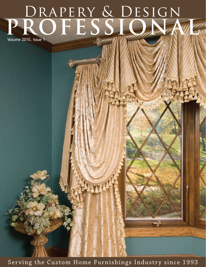# Drapery & Design PROFESSIONAL

Volume 2010, Issue 1

Serving the Custom Home Furnishings Industry since 1993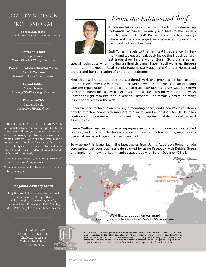#### Drapery & Design PROFESSIONAL

a publication of the Custom Home Furnishings Academy

> **Editor-in-Chief** Margie Nance *Margie@DRAPERYmagazine.com*

**Communications Director/Sales** Michele Williams *Michele@DRAPERYmagazine.com*

**Layout Editor** Steven Nance *Steven@DRAPERYmagazine.com*

> **Director/CEO** Jeanelle Dech *Jeanelle@CHFschool.com*

Drapery & Design PROFESSIONAL is a bimonthly trade publication specifically for those who sell, design or create custom window treatments, upholstery, slipcovers and related services. Contributions from readers are welcomed. We look for articles that teach new techniques, inspire readers to tackle new projects and inform readers of current trends in fabrication and design.

To request submission guidelines, please email *Editor@DraperyandDesignPro.com.*

To request a media kit, please contact the publishing manager.

#### **Magazine Advisory Board**

Holly Buccarelli, Sue Carlson, Wayne Chaif, Khindu Blessing Elke-spiff (Kiki), Kelly Geraghty, Tony Hollingsworth, Charlene Jones, Kate Kissell, Kelly Meuller, Marci Pelot, Angela Schneier, Linda Shearer

> CHF Academy 13900-F South Lakes Dr. Charlotte, NC 28273 704-333-4636 phone 704-333-4639 fax



#### *From the Editor-in-Chief*



This issue takes you across the globe from California, up to Canada, across to Germany and back to the Eastern and Midwest USA. D&D Pro writers come from everywhere and the knowledge they share is so important to the growth of your business.

Judi Turner travels to the Heimtextil trade show in Germany and we get a sneak peek inside the industry's largest trade show in the world. Susan Schurz shares her

special techniques when making an English panel. Kate Kissell walks us through a bathroom makeover. Read Bonnie Haugh's story about the Granger Homestead project and her re-creation of one of the bedrooms.

Meet Joanna Braxton and see the wonderful work she provides for her customers. Be in awe over the workroom floorplan shown in Karen McLucas' article along with the organization of her tools and materials. Our favorite forum wizard, Merlyn Corcoran shares just a few of her favorite blog sites. It's no wonder she always knows the right resource for our Network Members. She certainly has found many inspirational sites on the web.

I share a basic technique on covering a mounting board, and Linda Whitaker shows how to attach a board with magnets to a metal window or door. Ann K. Johnson continues in this issue with pattern matching - drop match style. It's not as hard as you think.

Laurie Medford teaches us how to re-purpose an ottoman with a new semi-attached cushion, and Elizabeth Gerdes recovers a lampshade. It's fun learning new ways to use what we have to give it a fresh new look.

To wrap up this issue, learn the latest news from Jenna Abbott on Roman shade cord safety, get your business side sparked by using Facebook with Debbie Green and implement new marketing and strategy tips with Sarah Devaney-O'Neil.

Margie Mance

**Heimtextil Show** Frankfurt, Germany

We'd like to put you on our map! Submit your article ideas to *Michele@chfschool.com.*

In preparation of this magazine, every effort has been made to offer the most current, correct, and clearly expressed information possible. Nevertheless, inadvertent errors may occur. Drapery & DESIGN PROFESSIONAL and it's representatives disclaim any responsibility due to typographical errors and accuracy of the information that may be contained in this magazine. No part of this magazine may be reproduced in any form without written permission from the publisher.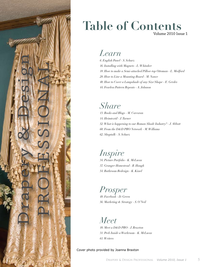

#### **Table of Contents** Volume 2010 Issue 1

#### *Learn*

*6. English Panel - S. Schurz 16. Installing with Magnets - L. Whitaker 18. How to make a Semi-attached Pillow-top Ottoman - L. Medford 28. How to Line a Mounting Board - M. Nance 40. How to Cover a Lampshade of any Size/Shape - E. Gerdes 44. Fearless Pattern Repeats - A. Johnson*

#### *Share*

*13. Books and Blogs - M. Corcoran 14. Heimtextil - J. Turner 52. What is happening to our Roman Shade Industry? - J. Abbott 60. From the D&D PRO Network - M. Williams 62. Shoptalk - S. Schurz*

### *Inspire*

*34. Picture Portfolio - K. McLucas 37. Granger Homestead - B. Haugh 54. Bathroom Redesign - K. Kissel*

### *Prosper*

*48. Facebook - D. Green 56. Marketing & Strategy - S. O'Neil*

#### *Meet*

*10. Meet a D&D PRO - J. Braxton 31. Peek Inside a Workroom - K. McLucas 61. Writers*

Cover photo provided by Joanna Braxton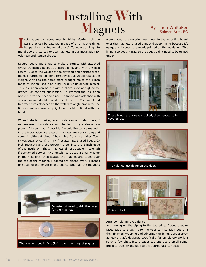## **I**nstalling **W**ith **Magnets** By Linda Whitaker

Installations can sometimes be tricky. Making holes in walls that can be patched in case of error is one thing, but patching painted metal doors? To reduce drilling into metal doors, I started to use magnets in our install nstallations can sometimes be tricky. Making holes in walls that can be patched in case of error is one thing, but patching painted metal doors? To reduce drilling into valances and Roman shades.

Several years ago I had to make a cornice with attached swags 20 inches deep, 120 inches long, and with a 6-inch return. Due to the weight of the plywood and finished treatment, I started to look for alternatives that would reduce the weight. A trip to the home store brought me to the 1-inch foam insulation used in housing, usually blue or pink in color. This insulation can be cut with a sharp knife and glued together. For my first application, I purchased the insulation and cut it to the needed size. The fabric was attached with screw pins and double-faced tape at the top. The completed treatment was attached to the wall with angle brackets. The finished valance was very light and could be lifted with one hand.

When I started thinking about valances on metal doors, I remembered this valance and decided to try a similar approach. I knew that, if possible, I would like to use magnets in the installation. Rare earth magnets are very strong and come in different sizes. I buy mine from Lee Valley Tools (www.leevalley.com). In my first attempt, I used five, 1/2 inch magnets and countersunk them into the 1-inch edge of the insulation. These magnets almost double in strength if positioned between two metals, so I used a small washer in the hole first, then seated the magnet and taped over the top of the magnet. Magnets are placed every 4 inches or so along the length of the board. When all the magnets



#### Salmon Arm, BC

were placed, the covering was glued to the mounting board over the magnets. I used dimout drapery lining because it's opaque and covers the words printed on the insulation. This lining also doesn't fray, so the edges didn't need to be turned under.



These blinds are always crooked, they needed to be covered up.



The valance just floats on the door.



#### After completing the valance

and sewing on the piping to the top edge, I used doublefaced tape to attach it to the valance insulation board. I then finished wrapping and adhering the lining. I use a spray adhesive that's designed specifically for upholstery work. I spray a few shots into a paper cup and use a small paintbrush to transfer the glue to the appropriate surfaces.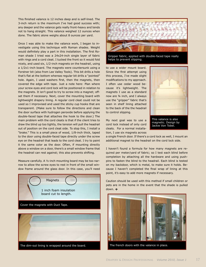This finished valance is 12 inches deep and is self-lined. The 3-inch return is the maximum I've had good success with; any deeper and the valance gets really front-heavy and tends not to hang straight. This valance weighed 12 ounces when done. The fabric alone weighs about 8 ounces per yard.

Once I was able to make the valance work, I began to investigate using this technique with Roman shades. Weight would definitely play a part in this installation. The first Roman shade I tried was a 24x24-inch single layer of fabric with rings and a cord cleat. I tucked the front so it would fold nicely, and used six, 1/2-inch magnets on the headrail, using a 1/2x1-inch board. The magnets were countersunk using a Forstner bit (also from Lee Valley Tools). This bit drills a hole that's flat at the bottom whereas regular bit drills a "pointed" hole. Again, I used washers first, then the magnets, then covered the edge with tape. Just a note here: Plan where your screw eyes and cord lock will be positioned in relation to the magnets. It isn't good to try to screw into a magnet; offset them if necessary. Next, cover the mounting board with lightweight drapery lining. A regular cord cleat could not be used so I improvised and used the sticky cup hooks that are transparent. (Make sure to follow the directions and clean the door surface with hydrogen peroxide before applying the double-faced tape that attaches the hook to the door.) The main problem with the cord cleats is that if the client tries to draw the blind up too tightly, the tension will pull the headrail out of position on the cord cleat side. To stop this, I install a "brake." This is a small piece of wood, 1/8-inch thick, taped to the door using double-faced tape directly under the screw eye on the headrail that leads to the cord cleat. I try to paint it the same color as the door. Often, if mounting directly above a window on a door, there's a small window frame that the headrail can rest against; this also prevents shifting.

Measure carefully. A ½-inch mounting board may be too narrow to allow the screw eyes to rest in front of the small window frame around the glass door. In this case, you'll need





Gripper fabric, applied with double-faced tape really helps to prevent slipping.

to use a wider mount board. Since the first attempt using this process, I've made slight modifications to my approach. I often use cedar wood because it's lightweight. The magnets I use as a standard now are ¾ inch, and I always use the "gripper" fabric that's seen in shelf lining attached to the back of the the headrail to control slipping.



Jackie Von Tobel.

My next goal was to use a cord lock instead of only cord cleats. For a normal installation, I use six magnets across

a single French door. If there's a cord lock as well, I mount an additional magnet to the headrail on the cord lock side.

I haven't found a formula for how many magnets are required per meter/yard of fabric; so I test each blind before completion by attaching all the hardware and using pushpins to fasten the blind to the headrail. Each blind is tested on my backdoor, which is metal, to make sure it holds. Because I haven't completed the final wrap of lining at this point, it's easy to add more magnets if necessary.

Caution should be used with this method if small children or pets are in the home in the event that the shade is pulled down.



The dim-out lining is wrapped around the board. The french doors with the valance in place.